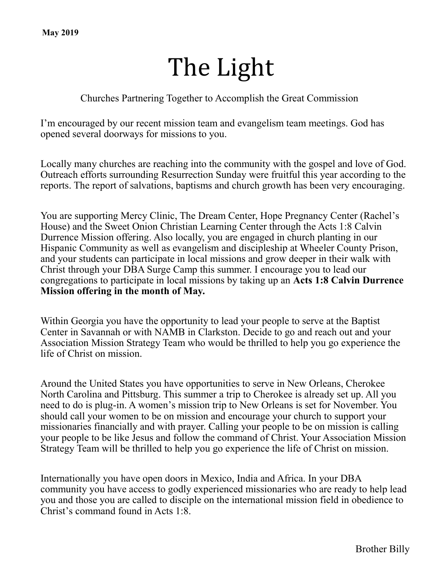# The Light

#### Churches Partnering Together to Accomplish the Great Commission

I'm encouraged by our recent mission team and evangelism team meetings. God has opened several doorways for missions to you.

Locally many churches are reaching into the community with the gospel and love of God. Outreach efforts surrounding Resurrection Sunday were fruitful this year according to the reports. The report of salvations, baptisms and church growth has been very encouraging.

You are supporting Mercy Clinic, The Dream Center, Hope Pregnancy Center (Rachel's House) and the Sweet Onion Christian Learning Center through the Acts 1:8 Calvin Durrence Mission offering. Also locally, you are engaged in church planting in our Hispanic Community as well as evangelism and discipleship at Wheeler County Prison, and your students can participate in local missions and grow deeper in their walk with Christ through your DBA Surge Camp this summer. I encourage you to lead our congregations to participate in local missions by taking up an **Acts 1:8 Calvin Durrence Mission offering in the month of May.**

Within Georgia you have the opportunity to lead your people to serve at the Baptist Center in Savannah or with NAMB in Clarkston. Decide to go and reach out and your Association Mission Strategy Team who would be thrilled to help you go experience the life of Christ on mission.

Around the United States you have opportunities to serve in New Orleans, Cherokee North Carolina and Pittsburg. This summer a trip to Cherokee is already set up. All you need to do is plug-in. A women's mission trip to New Orleans is set for November. You should call your women to be on mission and encourage your church to support your missionaries financially and with prayer. Calling your people to be on mission is calling your people to be like Jesus and follow the command of Christ. Your Association Mission Strategy Team will be thrilled to help you go experience the life of Christ on mission.

Internationally you have open doors in Mexico, India and Africa. In your DBA community you have access to godly experienced missionaries who are ready to help lead you and those you are called to disciple on the international mission field in obedience to Christ's command found in Acts 1:8.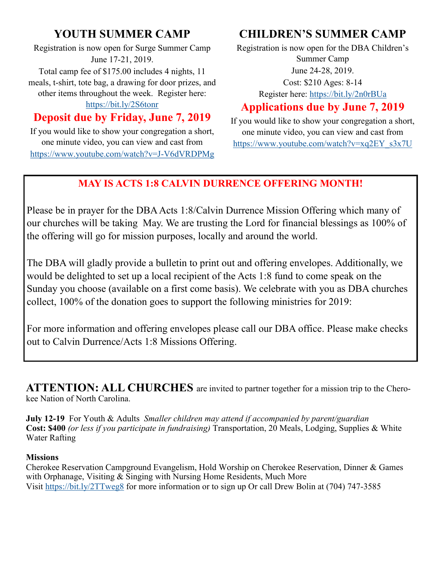# **YOUTH SUMMER CAMP**

Registration is now open for Surge Summer Camp June 17-21, 2019. Total camp fee of \$175.00 includes 4 nights, 11

meals, t-shirt, tote bag, a drawing for door prizes, and other items throughout the week. Register here:

## <https://bit.ly/2S6tonr>

## **Deposit due by Friday, June 7, 2019**

If you would like to show your congregation a short, one minute video, you can view and cast from [https://www.youtube.com/watch?v=J](https://www.youtube.com/watch?v=J-V6dVRDPMg)-V6dVRDPMg

# **CHILDREN'S SUMMER CAMP**

Registration is now open for the DBA Children's Summer Camp June 24-28, 2019. Cost: \$210 Ages: 8-14

Register here:<https://bit.ly/2n0rBUa>

## **Applications due by June 7, 2019**

If you would like to show your congregation a short, one minute video, you can view and cast from [https://www.youtube.com/watch?v=xq2EY\\_s3x7U](https://www.youtube.com/watch?v=xq2EY_s3x7U) 

## **MAY IS ACTS 1:8 CALVIN DURRENCE OFFERING MONTH!**

Please be in prayer for the DBA Acts 1:8/Calvin Durrence Mission Offering which many of our churches will be taking May. We are trusting the Lord for financial blessings as 100% of the offering will go for mission purposes, locally and around the world.

The DBA will gladly provide a bulletin to print out and offering envelopes. Additionally, we would be delighted to set up a local recipient of the Acts 1:8 fund to come speak on the Sunday you choose (available on a first come basis). We celebrate with you as DBA churches collect, 100% of the donation goes to support the following ministries for 2019:

For more information and offering envelopes please call our DBA office. Please make checks out to Calvin Durrence/Acts 1:8 Missions Offering.

**ATTENTION: ALL CHURCHES** are invited to partner together for a mission trip to the Cherokee Nation of North Carolina.

**July 12-19** For Youth & Adults *Smaller children may attend if accompanied by parent/guardian* **Cost: \$400** *(or less if you participate in fundraising)* Transportation, 20 Meals, Lodging, Supplies & White Water Rafting

#### **Missions**

Cherokee Reservation Campground Evangelism, Hold Worship on Cherokee Reservation, Dinner & Games with Orphanage, Visiting & Singing with Nursing Home Residents, Much More Visit<https://bit.ly/2TTweg8> for more information or to sign up Or call Drew Bolin at (704) 747-3585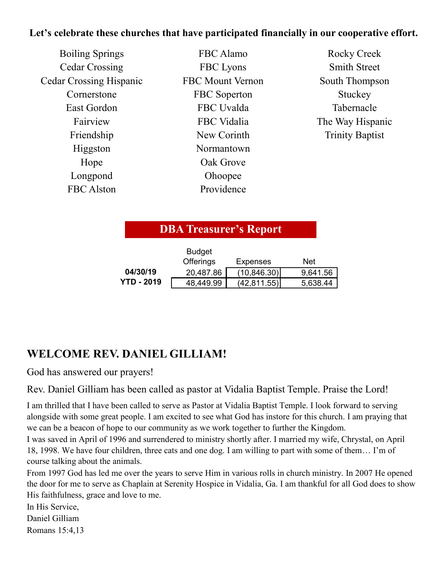### **Let's celebrate these churches that have participated financially in our cooperative effort.**

| <b>Smith Street</b>    |
|------------------------|
|                        |
| South Thompson         |
| Stuckey                |
| Tabernacle             |
| The Way Hispanic       |
| <b>Trinity Baptist</b> |
|                        |
|                        |
|                        |
|                        |
|                        |

## **DBA Treasurer's Report**

|                   | <b>Budget</b>    |                 |          |
|-------------------|------------------|-----------------|----------|
|                   | <b>Offerings</b> | <b>Expenses</b> | Net      |
| 04/30/19          | 20,487.86        | (10, 846.30)    | 9,641.56 |
| <b>YTD - 2019</b> | 48,449.99        | (42, 811.55)    | 5,638.44 |

# **WELCOME REV. DANIEL GILLIAM!**

God has answered our prayers!

Rev. Daniel Gilliam has been called as pastor at Vidalia Baptist Temple. Praise the Lord!

I am thrilled that I have been called to serve as Pastor at Vidalia Baptist Temple. I look forward to serving alongside with some great people. I am excited to see what God has instore for this church. I am praying that we can be a beacon of hope to our community as we work together to further the Kingdom.

I was saved in April of 1996 and surrendered to ministry shortly after. I married my wife, Chrystal, on April 18, 1998. We have four children, three cats and one dog. I am willing to part with some of them… I'm of course talking about the animals.

From 1997 God has led me over the years to serve Him in various rolls in church ministry. In 2007 He opened the door for me to serve as Chaplain at Serenity Hospice in Vidalia, Ga. I am thankful for all God does to show His faithfulness, grace and love to me. Budget<br> **EXECOME REV. DANIEL GILLIAM!**<br> **EXECOME REV. DANIEL GILLIAM!**<br> **EXECOME REV. DANIEL GILLIAM!**<br>
God has answered our prayers!<br>
Rev. Daniel Gilliam has been called as pastor at 1<br>
I am thrilled that I have been call

In His Service,

Daniel Gilliam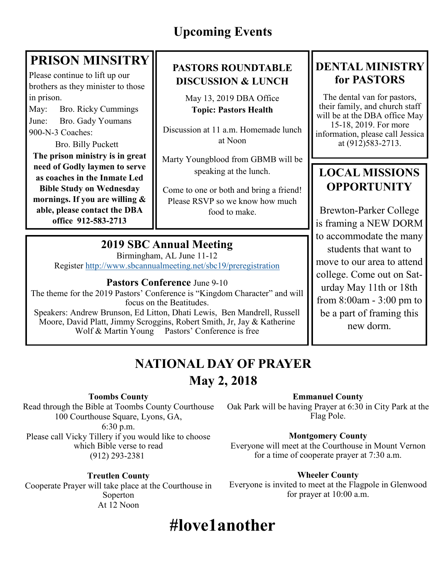# **PRISON MINSITRY**

Please continue to lift up our brothers as they minister to those in prison.

May: Bro. Ricky Cummings June: Bro. Gady Youmans 900-N-3 Coaches:

Bro. Billy Puckett **The prison ministry is in great need of Godly laymen to serve as coaches in the Inmate Led Bible Study on Wednesday mornings. If you are willing & able, please contact the DBA office 912-583-2713**

## **PASTORS ROUNDTABLE DISCUSSION & LUNCH**

May 13, 2019 DBA Office **Topic: Pastors Health**

Discussion at 11 a.m. Homemade lunch at Noon

Marty Youngblood from GBMB will be speaking at the lunch.

Come to one or both and bring a friend! Please RSVP so we know how much food to make.

## **2019 SBC Annual Meeting**

Birmingham, AL June 11-12 Register<http://www.sbcannualmeeting.net/sbc19/preregistration>

**Pastors Conference** June 9-10

The theme for the 2019 Pastors' Conference is "Kingdom Character" and will focus on the Beatitudes. Speakers: Andrew Brunson, Ed Litton, Dhati Lewis, Ben Mandrell, Russell Moore, David Platt, Jimmy Scroggins, Robert Smith, Jr, Jay & Katherine

Wolf & Martin Young Pastors' Conference is free

# **DENTAL MINISTRY for PASTORS**

The dental van for pastors, their family, and church staff will be at the DBA office May 15-18, 2019. For more information, please call Jessica at (912)583-2713.

# **LOCAL MISSIONS OPPORTUNITY**

Brewton-Parker College is framing a NEW DORM to accommodate the many students that want to move to our area to attend college. Come out on Saturday May 11th or 18th from 8:00am - 3:00 pm to be a part of framing this new dorm.

# **NATIONAL DAY OF PRAYER May 2, 2018**

#### **Toombs County**

Read through the Bible at Toombs County Courthouse 100 Courthouse Square, Lyons, GA, 6:30 p.m. Please call Vicky Tillery if you would like to choose which Bible verse to read (912) 293-2381

#### **Treutlen County**

Cooperate Prayer will take place at the Courthouse in Soperton At 12 Noon

**Emmanuel County**

Oak Park will be having Prayer at 6:30 in City Park at the Flag Pole.

#### **Montgomery County**

Everyone will meet at the Courthouse in Mount Vernon for a time of cooperate prayer at 7:30 a.m.

#### **Wheeler County**

Everyone is invited to meet at the Flagpole in Glenwood for prayer at 10:00 a.m.

# **#love1another**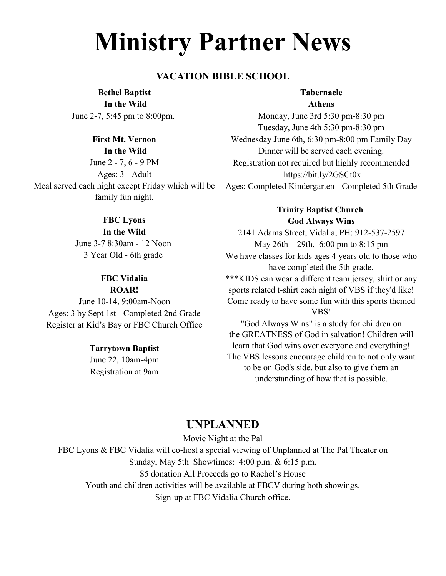# **Ministry Partner News**

#### **VACATION BIBLE SCHOOL**

**Bethel Baptist In the Wild** 

June 2-7, 5:45 pm to 8:00pm.

#### **First Mt. Vernon In the Wild**

June 2 - 7, 6 - 9 PM Ages: 3 - Adult Meal served each night except Friday which will be family fun night.

#### **FBC Lyons**

**In the Wild** June 3-7 8:30am - 12 Noon 3 Year Old - 6th grade

#### **FBC Vidalia ROAR!**

June 10-14, 9:00am-Noon Ages: 3 by Sept 1st - Completed 2nd Grade Register at Kid's Bay or FBC Church Office

#### **Tarrytown Baptist**

June 22, 10am-4pm Registration at 9am

#### **Tabernacle Athens**

Monday, June 3rd 5:30 pm-8:30 pm Tuesday, June 4th 5:30 pm-8:30 pm Wednesday June 6th, 6:30 pm-8:00 pm Family Day Dinner will be served each evening. Registration not required but highly recommended https://bit.ly/2GSCt0x Ages: Completed Kindergarten - Completed 5th Grade

> **Trinity Baptist Church God Always Wins**

2141 Adams Street, Vidalia, PH: 912-537-2597 May 26th – 29th, 6:00 pm to 8:15 pm We have classes for kids ages 4 years old to those who have completed the 5th grade. \*\*\*KIDS can wear a different team jersey, shirt or any sports related t-shirt each night of VBS if they'd like! Come ready to have some fun with this sports themed VBS!

"God Always Wins" is a study for children on the GREATNESS of God in salvation! Children will learn that God wins over everyone and everything! The VBS lessons encourage children to not only want to be on God's side, but also to give them an understanding of how that is possible.

### **UNPLANNED**

Movie Night at the Pal

FBC Lyons & FBC Vidalia will co-host a special viewing of Unplanned at The Pal Theater on Sunday, May 5th Showtimes: 4:00 p.m. & 6:15 p.m. \$5 donation All Proceeds go to Rachel's House Youth and children activities will be available at FBCV during both showings. Sign-up at FBC Vidalia Church office.